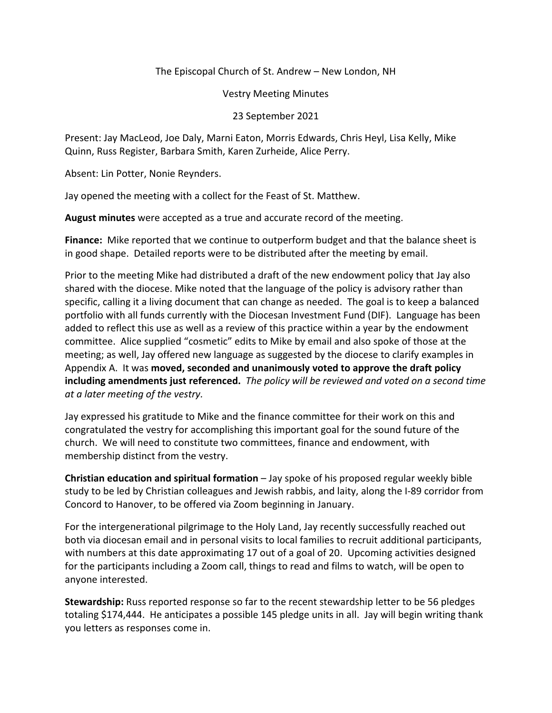The Episcopal Church of St. Andrew – New London, NH

Vestry Meeting Minutes

23 September 2021

Present: Jay MacLeod, Joe Daly, Marni Eaton, Morris Edwards, Chris Heyl, Lisa Kelly, Mike Quinn, Russ Register, Barbara Smith, Karen Zurheide, Alice Perry.

Absent: Lin Potter, Nonie Reynders.

Jay opened the meeting with a collect for the Feast of St. Matthew.

**August minutes** were accepted as a true and accurate record of the meeting.

**Finance:** Mike reported that we continue to outperform budget and that the balance sheet is in good shape. Detailed reports were to be distributed after the meeting by email.

Prior to the meeting Mike had distributed a draft of the new endowment policy that Jay also shared with the diocese. Mike noted that the language of the policy is advisory rather than specific, calling it a living document that can change as needed. The goal is to keep a balanced portfolio with all funds currently with the Diocesan Investment Fund (DIF). Language has been added to reflect this use as well as a review of this practice within a year by the endowment committee. Alice supplied "cosmetic" edits to Mike by email and also spoke of those at the meeting; as well, Jay offered new language as suggested by the diocese to clarify examples in Appendix A. It was **moved, seconded and unanimously voted to approve the draft policy including amendments just referenced.** *The policy will be reviewed and voted on a second time at a later meeting of the vestry.*

Jay expressed his gratitude to Mike and the finance committee for their work on this and congratulated the vestry for accomplishing this important goal for the sound future of the church. We will need to constitute two committees, finance and endowment, with membership distinct from the vestry.

**Christian education and spiritual formation** – Jay spoke of his proposed regular weekly bible study to be led by Christian colleagues and Jewish rabbis, and laity, along the I-89 corridor from Concord to Hanover, to be offered via Zoom beginning in January.

For the intergenerational pilgrimage to the Holy Land, Jay recently successfully reached out both via diocesan email and in personal visits to local families to recruit additional participants, with numbers at this date approximating 17 out of a goal of 20. Upcoming activities designed for the participants including a Zoom call, things to read and films to watch, will be open to anyone interested.

**Stewardship:** Russ reported response so far to the recent stewardship letter to be 56 pledges totaling \$174,444. He anticipates a possible 145 pledge units in all. Jay will begin writing thank you letters as responses come in.